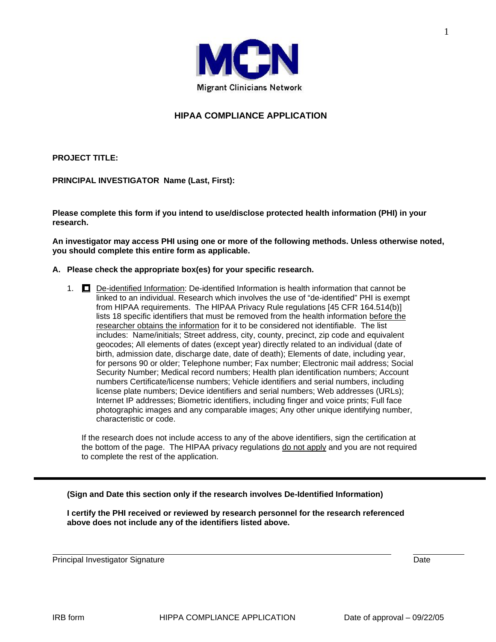

# **HIPAA COMPLIANCE APPLICATION**

**PROJECT TITLE:** 

**PRINCIPAL INVESTIGATOR Name (Last, First):** 

**Please complete this form if you intend to use/disclose protected health information (PHI) in your research.** 

**An investigator may access PHI using one or more of the following methods. Unless otherwise noted, you should complete this entire form as applicable.**

#### **A. Please check the appropriate box(es) for your specific research.**

1. De-identified Information: De-identified Information is health information that cannot be linked to an individual. Research which involves the use of "de-identified" PHI is exempt from HIPAA requirements. The HIPAA Privacy Rule regulations [45 CFR 164.514(b)] lists 18 specific identifiers that must be removed from the health information before the researcher obtains the information for it to be considered not identifiable. The list includes: Name/initials; Street address, city, county, precinct, zip code and equivalent geocodes; All elements of dates (except year) directly related to an individual (date of birth, admission date, discharge date, date of death); Elements of date, including year, for persons 90 or older; Telephone number; Fax number; Electronic mail address; Social Security Number; Medical record numbers; Health plan identification numbers; Account numbers Certificate/license numbers; Vehicle identifiers and serial numbers, including license plate numbers; Device identifiers and serial numbers; Web addresses (URLs); Internet IP addresses; Biometric identifiers, including finger and voice prints; Full face photographic images and any comparable images; Any other unique identifying number, characteristic or code.

If the research does not include access to any of the above identifiers, sign the certification at the bottom of the page. The HIPAA privacy regulations do not apply and you are not required to complete the rest of the application.

**(Sign and Date this section only if the research involves De-Identified Information)** 

**I certify the PHI received or reviewed by research personnel for the research referenced above does not include any of the identifiers listed above.** 

Principal Investigator Signature **Date of Contract Contract Contract Contract Contract Contract Contract Contract Contract Contract Contract Contract Contract Contract Contract Contract Contract Contract Contract Contract**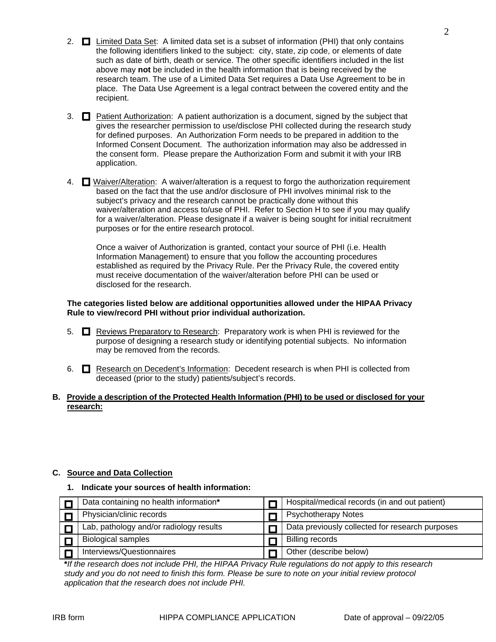- 2.  $\Box$  Limited Data Set: A limited data set is a subset of information (PHI) that only contains the following identifiers linked to the subject: city, state, zip code, or elements of date such as date of birth, death or service. The other specific identifiers included in the list above may **not** be included in the health information that is being received by the research team. The use of a Limited Data Set requires a Data Use Agreement to be in place. The Data Use Agreement is a legal contract between the covered entity and the recipient.
- 3.  $\Box$  Patient Authorization: A patient authorization is a document, signed by the subject that gives the researcher permission to use/disclose PHI collected during the research study for defined purposes. An Authorization Form needs to be prepared in addition to the Informed Consent Document. The authorization information may also be addressed in the consent form. Please prepare the Authorization Form and submit it with your IRB application.
- 4. Waiver/Alteration: A waiver/alteration is a request to forgo the authorization requirement based on the fact that the use and/or disclosure of PHI involves minimal risk to the subject's privacy and the research cannot be practically done without this waiver/alteration and access to/use of PHI. Refer to Section H to see if you may qualify for a waiver/alteration. Please designate if a waiver is being sought for initial recruitment purposes or for the entire research protocol.

 Once a waiver of Authorization is granted, contact your source of PHI (i.e. Health Information Management) to ensure that you follow the accounting procedures established as required by the Privacy Rule. Per the Privacy Rule, the covered entity must receive documentation of the waiver/alteration before PHI can be used or disclosed for the research.

#### **The categories listed below are additional opportunities allowed under the HIPAA Privacy Rule to view/record PHI without prior individual authorization.**

- 5.  $\Box$  Reviews Preparatory to Research: Preparatory work is when PHI is reviewed for the purpose of designing a research study or identifying potential subjects. No information may be removed from the records.
- 6. **C** Research on Decedent's Information: Decedent research is when PHI is collected from deceased (prior to the study) patients/subject's records.

### **B. Provide a description of the Protected Health Information (PHI) to be used or disclosed for your research:**

## **C. Source and Data Collection**

## **1. Indicate your sources of health information:**

| Data containing no health information*  | Hospital/medical records (in and out patient)   |
|-----------------------------------------|-------------------------------------------------|
| Physician/clinic records                | <b>Psychotherapy Notes</b>                      |
| Lab, pathology and/or radiology results | Data previously collected for research purposes |
| <b>Biological samples</b>               | <b>Billing records</b>                          |
| Interviews/Questionnaires               | Other (describe below)                          |

**\****If the research does not include PHI, the HIPAA Privacy Rule regulations do not apply to this research study and you do not need to finish this form. Please be sure to note on your initial review protocol application that the research does not include PHI.*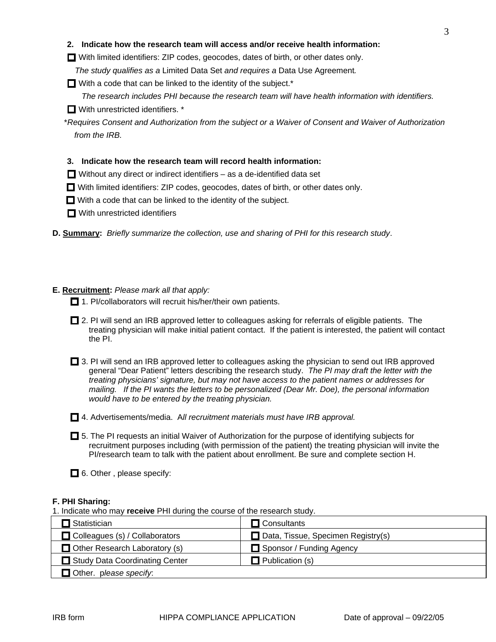### **2. Indicate how the research team will access and/or receive health information:**

With limited identifiers: ZIP codes, geocodes, dates of birth, or other dates only.

*The study qualifies as a* Limited Data Set *and requires a* Data Use Agreement*.*

 $\Box$  With a code that can be linked to the identity of the subject.<sup>\*</sup>

*The research includes PHI because the research team will have health information with identifiers.* 

■ With unrestricted identifiers. \*

\**Requires Consent and Authorization from the subject or a Waiver of Consent and Waiver of Authorization from the IRB.* 

## **3. Indicate how the research team will record health information:**

- $\Box$  Without any direct or indirect identifiers as a de-identified data set
- With limited identifiers: ZIP codes, geocodes, dates of birth, or other dates only.
- $\Box$  With a code that can be linked to the identity of the subject.
- **No** With unrestricted identifiers
- **D. Summary:** *Briefly summarize the collection, use and sharing of PHI for this research study*.

# **E. Recruitment:** *Please mark all that apply:*

- $\Box$  1. PI/collaborators will recruit his/her/their own patients.
- □ 2. PI will send an IRB approved letter to colleagues asking for referrals of eligible patients. The treating physician will make initial patient contact. If the patient is interested, the patient will contact the PI.

 $\Box$  3. PI will send an IRB approved letter to colleagues asking the physician to send out IRB approved general "Dear Patient" letters describing the research study. *The PI may draft the letter with the treating physicians' signature, but may not have access to the patient names or addresses for mailing. If the PI wants the letters to be personalized (Dear Mr. Doe), the personal information would have to be entered by the treating physician.* 

4. Advertisements/media. A*ll recruitment materials must have IRB approval.* 

 5. The PI requests an initial Waiver of Authorization for the purpose of identifying subjects for recruitment purposes including (with permission of the patient) the treating physician will invite the PI/research team to talk with the patient about enrollment. Be sure and complete section H.

 $\Box$  6. Other, please specify:

## **F. PHI Sharing:**

1. Indicate who may **receive** PHI during the course of the research study.

| Statistician                          | $\Box$ Consultants                        |  |  |
|---------------------------------------|-------------------------------------------|--|--|
| $\Box$ Colleagues (s) / Collaborators | $\Box$ Data, Tissue, Specimen Registry(s) |  |  |
| $\Box$ Other Research Laboratory (s)  | Sponsor / Funding Agency                  |  |  |
| Study Data Coordinating Center        | $\Box$ Publication (s)                    |  |  |
| Other. please specify.                |                                           |  |  |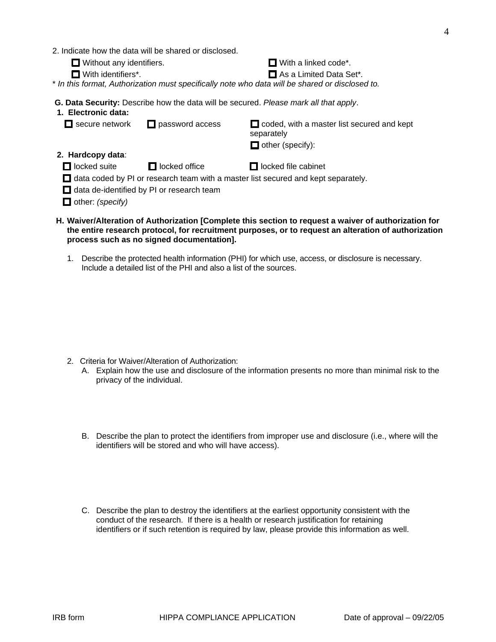- 2. Indicate how the data will be shared or disclosed.
	- $\Box$  Without any identifiers.  $\Box$  With a linked code\*.
		-

□ With identifiers<sup>\*</sup>. <br>■ As a Limited Data Set<sup>\*</sup>.

\* *In this format, Authorization must specifically note who data will be shared or disclosed to.*

 **G. Data Security:** Describe how the data will be secured. *Please mark all that apply*.

| 1. Electronic data:                                                                      |                        |                                                                                                                                                                                                              |  |  |  |
|------------------------------------------------------------------------------------------|------------------------|--------------------------------------------------------------------------------------------------------------------------------------------------------------------------------------------------------------|--|--|--|
| $\Box$ secure network                                                                    | $\Box$ password access | $\Box$ coded, with a master list secured and kept<br>separately                                                                                                                                              |  |  |  |
|                                                                                          |                        | $\Box$ other (specify):                                                                                                                                                                                      |  |  |  |
| 2. Hardcopy data:                                                                        |                        |                                                                                                                                                                                                              |  |  |  |
| $\Box$ locked suite                                                                      | $\Box$ locked office   | $\Box$ locked file cabinet                                                                                                                                                                                   |  |  |  |
| $\Box$ data coded by PI or research team with a master list secured and kept separately. |                        |                                                                                                                                                                                                              |  |  |  |
| $\Box$ data de-identified by PI or research team                                         |                        |                                                                                                                                                                                                              |  |  |  |
| $\Box$ other: (specify)                                                                  |                        |                                                                                                                                                                                                              |  |  |  |
|                                                                                          |                        | H. Waiver/Alteration of Authorization [Complete this section to request a waiver of authorization for<br>the entire research protocol for recruitment nurnoses, or to request an alteration of authorization |  |  |  |

- **the entire research protocol, for recruitment purposes, or to request an alteration of authorization process such as no signed documentation].** 
	- 1. Describe the protected health information (PHI) for which use, access, or disclosure is necessary. Include a detailed list of the PHI and also a list of the sources.

- 2. Criteria for Waiver/Alteration of Authorization:
	- A. Explain how the use and disclosure of the information presents no more than minimal risk to the privacy of the individual.
	- B. Describe the plan to protect the identifiers from improper use and disclosure (i.e., where will the identifiers will be stored and who will have access).
	- C. Describe the plan to destroy the identifiers at the earliest opportunity consistent with the conduct of the research. If there is a health or research justification for retaining identifiers or if such retention is required by law, please provide this information as well.